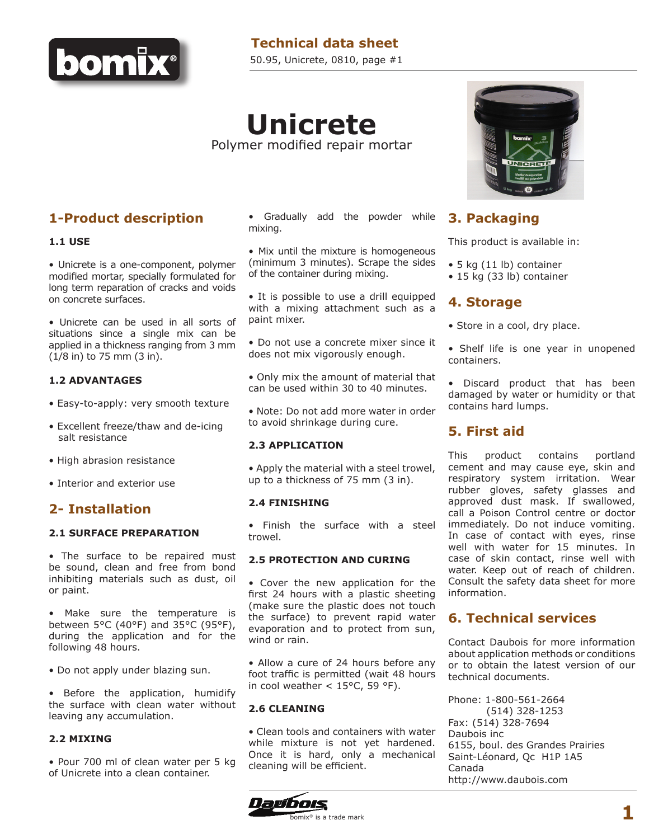

## **Technical data sheet**

50.95, Unicrete, 0810, page #1

# **Unicrete** Polymer modified repair mortar

### **1-Product description**

#### **1.1 USE**

• Unicrete is a one-component, polymer modified mortar, specially formulated for long term reparation of cracks and voids on concrete surfaces.

• Unicrete can be used in all sorts of situations since a single mix can be applied in a thickness ranging from 3 mm (1/8 in) to 75 mm (3 in).

#### **1.2 ADVANTAGES**

- Easy-to-apply: very smooth texture
- Excellent freeze/thaw and de-icing salt resistance
- High abrasion resistance
- Interior and exterior use

### **2- Installation**

#### **2.1 SURFACE PREPARATION**

• The surface to be repaired must be sound, clean and free from bond inhibiting materials such as dust, oil or paint.

• Make sure the temperature is between 5°C (40°F) and 35°C (95°F), during the application and for the following 48 hours.

• Do not apply under blazing sun.

• Before the application, humidify the surface with clean water without leaving any accumulation.

#### **2.2 MIXING**

• Pour 700 ml of clean water per 5 kg of Unicrete into a clean container.

• Gradually add the powder while mixing.

• Mix until the mixture is homogeneous (minimum 3 minutes). Scrape the sides of the container during mixing.

• It is possible to use a drill equipped with a mixing attachment such as a paint mixer.

• Do not use a concrete mixer since it does not mix vigorously enough.

• Only mix the amount of material that can be used within 30 to 40 minutes.

• Note: Do not add more water in order to avoid shrinkage during cure.

#### **2.3 APPLICATION**

• Apply the material with a steel trowel, up to a thickness of 75 mm (3 in).

#### **2.4 FINISHING**

• Finish the surface with a steel trowel.

#### **2.5 PROTECTION AND CURING**

• Cover the new application for the first 24 hours with a plastic sheeting (make sure the plastic does not touch the surface) to prevent rapid water evaporation and to protect from sun, wind or rain.

• Allow a cure of 24 hours before any foot traffic is permitted (wait 48 hours in cool weather  $<$  15°C, 59 °F).

#### **2.6 CLEANING**

• Clean tools and containers with water while mixture is not yet hardened. Once it is hard, only a mechanical cleaning will be efficient.





### **3. Packaging**

This product is available in:

- 5 kg (11 lb) container
- 15 kg (33 lb) container

### **4. Storage**

- Store in a cool, dry place.
- Shelf life is one year in unopened containers.

• Discard product that has been damaged by water or humidity or that contains hard lumps.

### **5. First aid**

This product contains portland cement and may cause eye, skin and respiratory system irritation. Wear rubber gloves, safety glasses and approved dust mask. If swallowed, call a Poison Control centre or doctor immediately. Do not induce vomiting. In case of contact with eyes, rinse well with water for 15 minutes. In case of skin contact, rinse well with water. Keep out of reach of children. Consult the safety data sheet for more information.

### **6. Technical services**

Contact Daubois for more information about application methods or conditions or to obtain the latest version of our technical documents.

Phone: 1-800-561-2664 (514) 328-1253 Fax: (514) 328-7694 Daubois inc 6155, boul. des Grandes Prairies Saint-Léonard, Qc H1P 1A5 Canada http://www.daubois.com